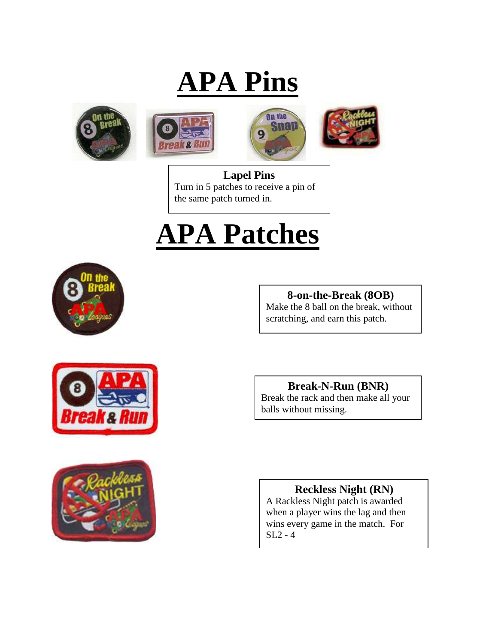# **APA Pins**









**Lapel Pins** Turn in 5 patches to receive a pin of the same patch turned in.

# **APA Patches**



### **8-on-the-Break (8OB)**

Make the 8 ball on the break, without scratching, and earn this patch.





**Break-N-Run (BNR)**

Break the rack and then make all your balls without missing.

#### **Reckless Night (RN)**

A Rackless Night patch is awarded when a player wins the lag and then wins every game in the match. For SL2 - 4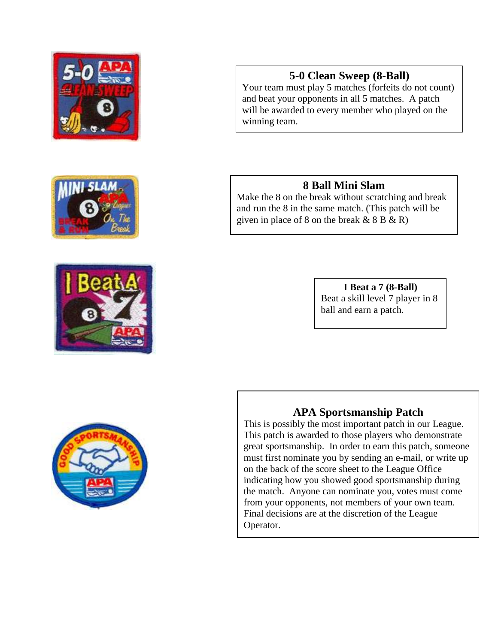







Your team must play 5 matches (forfeits do not count) and beat your opponents in all 5 matches. A patch will be awarded to every member who played on the winning team.

#### **8 Ball Mini Slam**

Make the 8 on the break without scratching and break and run the 8 in the same match. (This patch will be given in place of 8 on the break  $& 8B & R$ )

> **I Beat a 7 (8-Ball)** Beat a skill level 7 player in 8 ball and earn a patch.



# **APA Sportsmanship Patch**

This is possibly the most important patch in our League. This patch is awarded to those players who demonstrate great sportsmanship. In order to earn this patch, someone must first nominate you by sending an e-mail, or write up on the back of the score sheet to the League Office indicating how you showed good sportsmanship during the match. Anyone can nominate you, votes must come from your opponents, not members of your own team. Final decisions are at the discretion of the League Operator.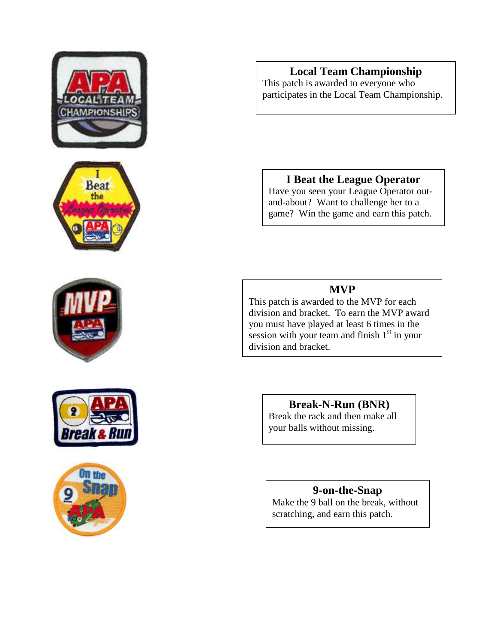









#### **Local Team Championship**

This patch is awarded to everyone who participates in the Local Team Championship.

#### **I Beat the League Operator**

Have you seen your League Operator outand-about? Want to challenge her to a game? Win the game and earn this patch.

#### **MVP**

This patch is awarded to the MVP for each division and bracket. To earn the MVP award you must have played at least 6 times in the session with your team and finish  $1<sup>st</sup>$  in your division and bracket.

#### **Break-N-Run (BNR)**

Break the rack and then make all your balls without missing.

#### **9-on-the-Snap**

Make the 9 ball on the break, without scratching, and earn this patch.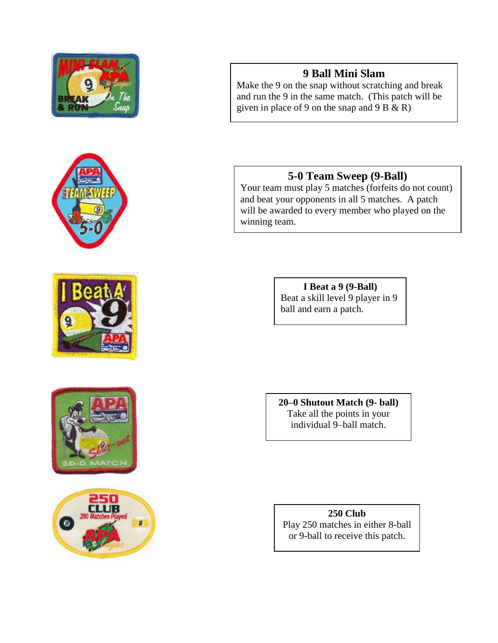









#### **9 Ball Mini Slam**

Make the 9 on the snap without scratching and break and run the 9 in the same match. (This patch will be given in place of 9 on the snap and 9 B  $\&$  R)

#### **5-0 Team Sweep (9-Ball)**

Your team must play 5 matches (forfeits do not count) and beat your opponents in all 5 matches. A patch will be awarded to every member who played on the winning team.

> **I Beat a 9 (9-Ball)** Beat a skill level 9 player in 9 ball and earn a patch.

**20–0 Shutout Match (9- ball)** Take all the points in your individual 9–ball match.

**250 Club** Play 250 matches in either 8-ball or 9-ball to receive this patch.